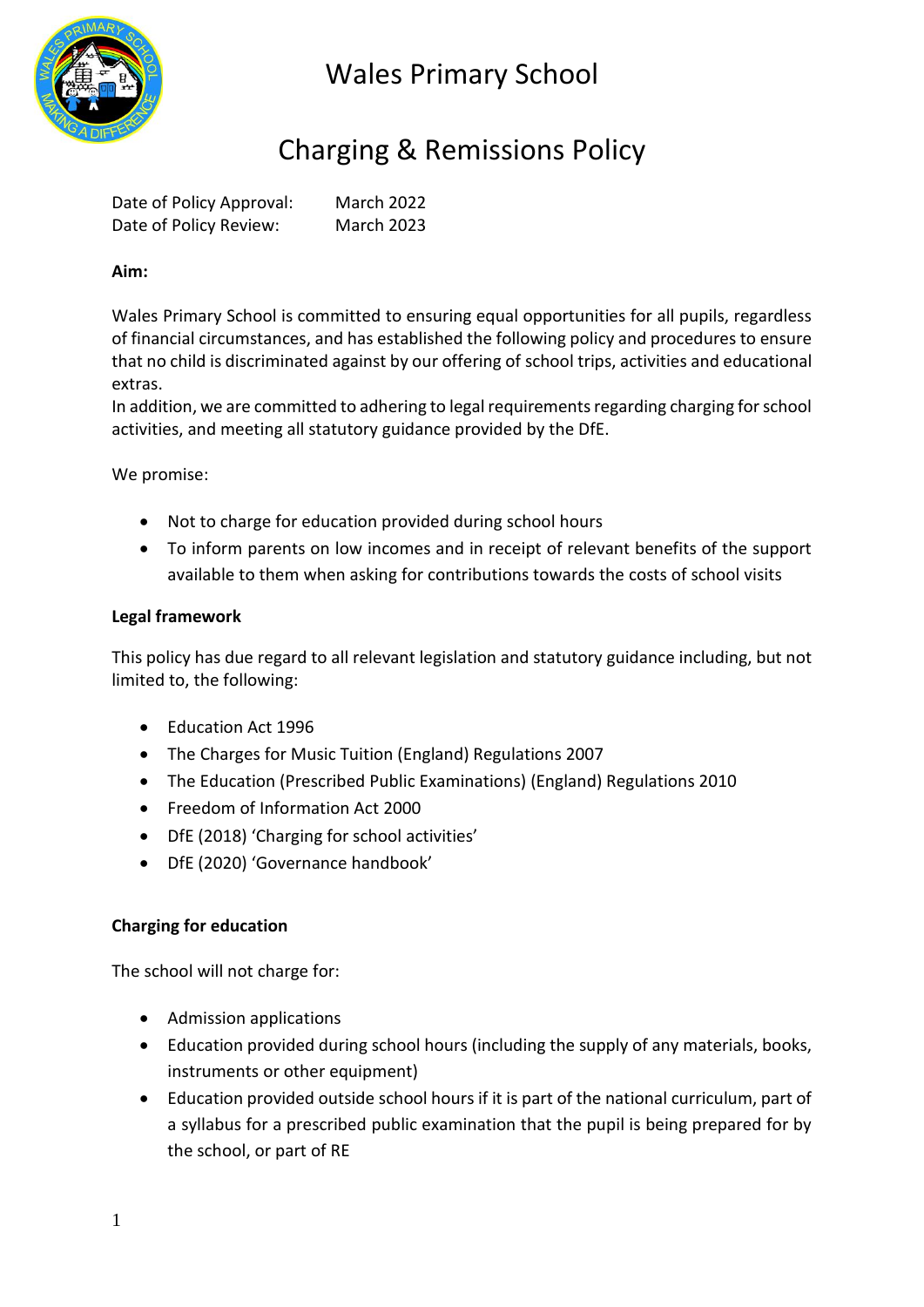

## Charging & Remissions Policy

Date of Policy Approval: March 2022 Date of Policy Review: March 2023

### **Aim:**

Wales Primary School is committed to ensuring equal opportunities for all pupils, regardless of financial circumstances, and has established the following policy and procedures to ensure that no child is discriminated against by our offering of school trips, activities and educational extras.

In addition, we are committed to adhering to legal requirements regarding charging for school activities, and meeting all statutory guidance provided by the DfE.

We promise:

- Not to charge for education provided during school hours
- To inform parents on low incomes and in receipt of relevant benefits of the support available to them when asking for contributions towards the costs of school visits

#### **Legal framework**

This policy has due regard to all relevant legislation and statutory guidance including, but not limited to, the following:

- Education Act 1996
- The Charges for Music Tuition (England) Regulations 2007
- The Education (Prescribed Public Examinations) (England) Regulations 2010
- Freedom of Information Act 2000
- DfE (2018) 'Charging for school activities'
- DfE (2020) 'Governance handbook'

#### **Charging for education**

The school will not charge for:

- Admission applications
- Education provided during school hours (including the supply of any materials, books, instruments or other equipment)
- Education provided outside school hours if it is part of the national curriculum, part of a syllabus for a prescribed public examination that the pupil is being prepared for by the school, or part of RE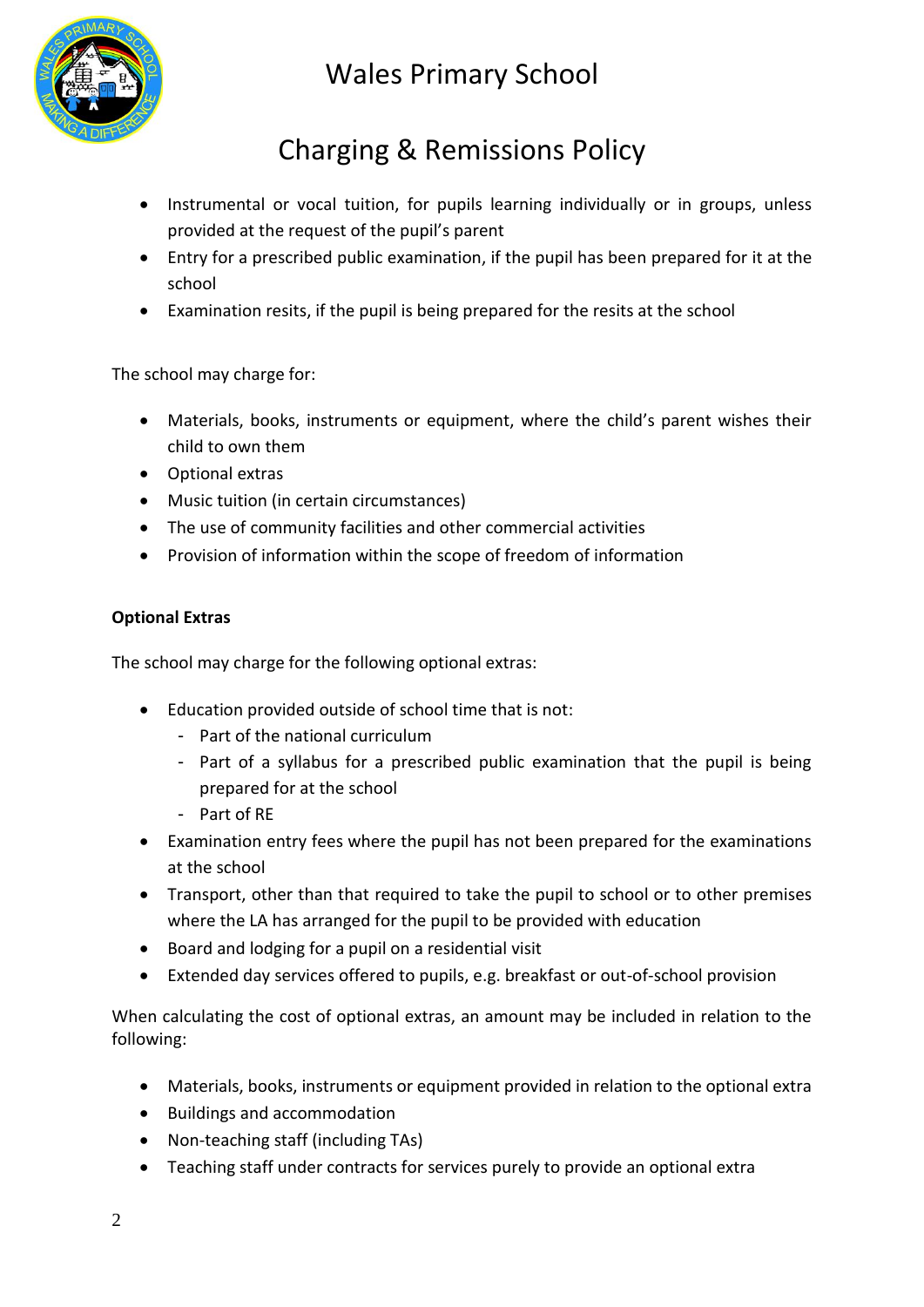

# Charging & Remissions Policy

- Instrumental or vocal tuition, for pupils learning individually or in groups, unless provided at the request of the pupil's parent
- Entry for a prescribed public examination, if the pupil has been prepared for it at the school
- Examination resits, if the pupil is being prepared for the resits at the school

The school may charge for:

- Materials, books, instruments or equipment, where the child's parent wishes their child to own them
- Optional extras
- Music tuition (in certain circumstances)
- The use of community facilities and other commercial activities
- Provision of information within the scope of freedom of information

## **Optional Extras**

The school may charge for the following optional extras:

- Education provided outside of school time that is not:
	- Part of the national curriculum
	- Part of a syllabus for a prescribed public examination that the pupil is being prepared for at the school
	- Part of RE
- Examination entry fees where the pupil has not been prepared for the examinations at the school
- Transport, other than that required to take the pupil to school or to other premises where the LA has arranged for the pupil to be provided with education
- Board and lodging for a pupil on a residential visit
- Extended day services offered to pupils, e.g. breakfast or out-of-school provision

When calculating the cost of optional extras, an amount may be included in relation to the following:

- Materials, books, instruments or equipment provided in relation to the optional extra
- Buildings and accommodation
- Non-teaching staff (including TAs)
- Teaching staff under contracts for services purely to provide an optional extra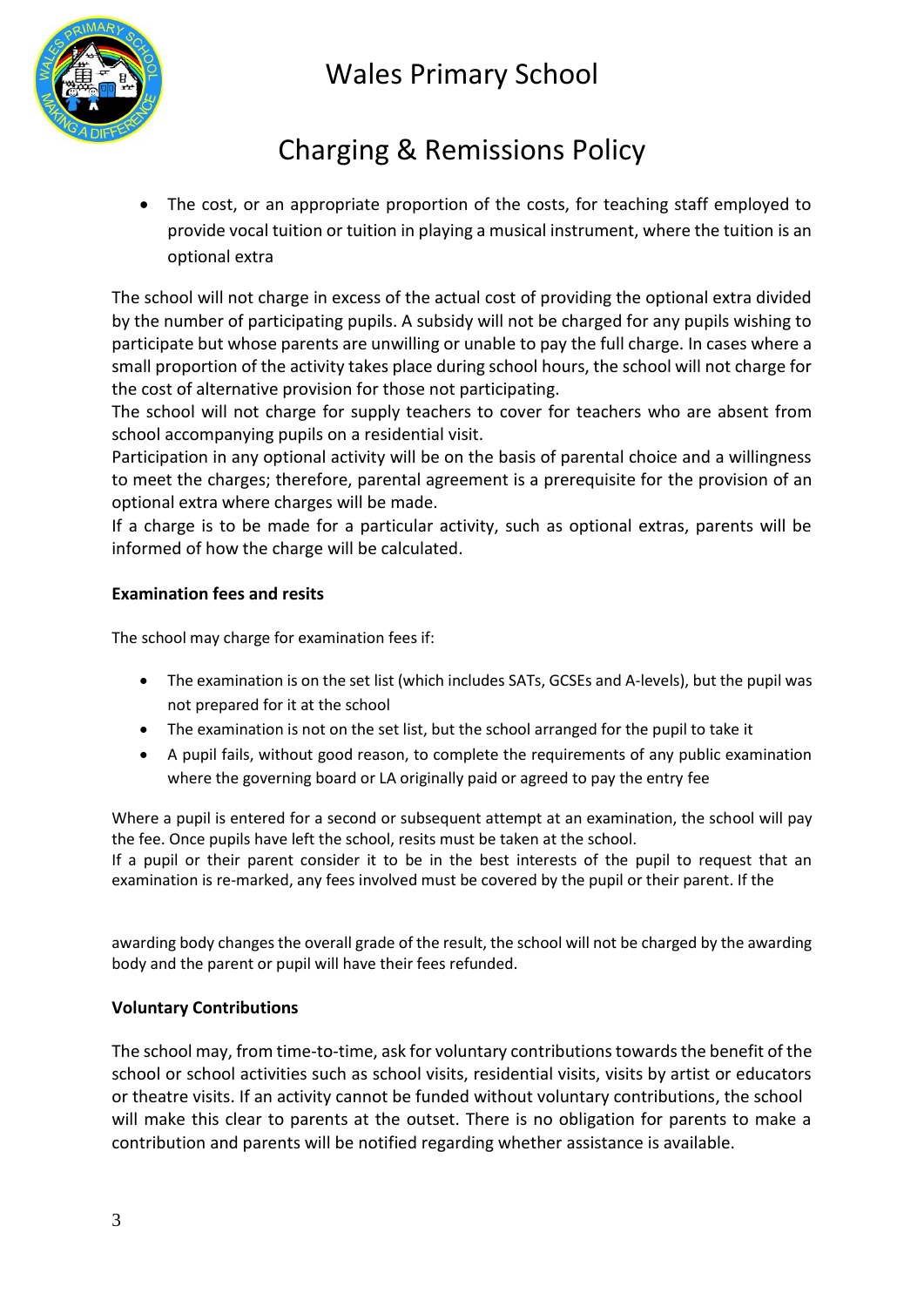

# Charging & Remissions Policy

 The cost, or an appropriate proportion of the costs, for teaching staff employed to provide vocal tuition or tuition in playing a musical instrument, where the tuition is an optional extra

The school will not charge in excess of the actual cost of providing the optional extra divided by the number of participating pupils. A subsidy will not be charged for any pupils wishing to participate but whose parents are unwilling or unable to pay the full charge. In cases where a small proportion of the activity takes place during school hours, the school will not charge for the cost of alternative provision for those not participating.

The school will not charge for supply teachers to cover for teachers who are absent from school accompanying pupils on a residential visit.

Participation in any optional activity will be on the basis of parental choice and a willingness to meet the charges; therefore, parental agreement is a prerequisite for the provision of an optional extra where charges will be made.

If a charge is to be made for a particular activity, such as optional extras, parents will be informed of how the charge will be calculated.

### **Examination fees and resits**

The school may charge for examination fees if:

- The examination is on the set list (which includes SATs, GCSEs and A-levels), but the pupil was not prepared for it at the school
- The examination is not on the set list, but the school arranged for the pupil to take it
- A pupil fails, without good reason, to complete the requirements of any public examination where the governing board or LA originally paid or agreed to pay the entry fee

Where a pupil is entered for a second or subsequent attempt at an examination, the school will pay the fee. Once pupils have left the school, resits must be taken at the school.

If a pupil or their parent consider it to be in the best interests of the pupil to request that an examination is re-marked, any fees involved must be covered by the pupil or their parent. If the

awarding body changes the overall grade of the result, the school will not be charged by the awarding body and the parent or pupil will have their fees refunded.

#### **Voluntary Contributions**

The school may, from time-to-time, ask for voluntary contributions towards the benefit of the school or school activities such as school visits, residential visits, visits by artist or educators or theatre visits. If an activity cannot be funded without voluntary contributions, the school will make this clear to parents at the outset. There is no obligation for parents to make a contribution and parents will be notified regarding whether assistance is available.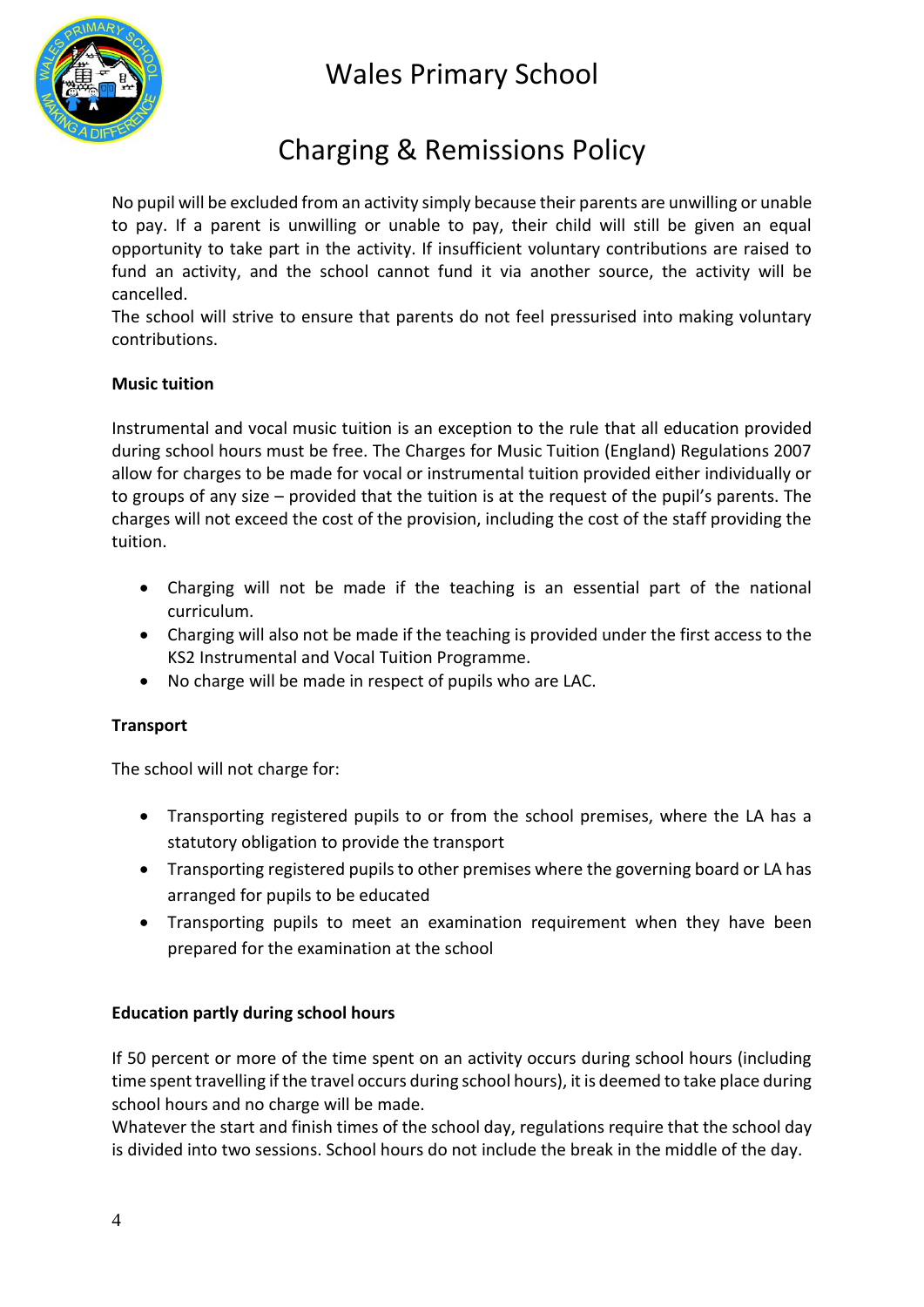



## Charging & Remissions Policy

No pupil will be excluded from an activity simply because their parents are unwilling or unable to pay. If a parent is unwilling or unable to pay, their child will still be given an equal opportunity to take part in the activity. If insufficient voluntary contributions are raised to fund an activity, and the school cannot fund it via another source, the activity will be cancelled.

The school will strive to ensure that parents do not feel pressurised into making voluntary contributions.

### **Music tuition**

Instrumental and vocal music tuition is an exception to the rule that all education provided during school hours must be free. The Charges for Music Tuition (England) Regulations 2007 allow for charges to be made for vocal or instrumental tuition provided either individually or to groups of any size – provided that the tuition is at the request of the pupil's parents. The charges will not exceed the cost of the provision, including the cost of the staff providing the tuition.

- Charging will not be made if the teaching is an essential part of the national curriculum.
- Charging will also not be made if the teaching is provided under the first access to the KS2 Instrumental and Vocal Tuition Programme.
- No charge will be made in respect of pupils who are LAC.

### **Transport**

The school will not charge for:

- Transporting registered pupils to or from the school premises, where the LA has a statutory obligation to provide the transport
- Transporting registered pupils to other premises where the governing board or LA has arranged for pupils to be educated
- Transporting pupils to meet an examination requirement when they have been prepared for the examination at the school

#### **Education partly during school hours**

If 50 percent or more of the time spent on an activity occurs during school hours (including time spent travelling if the travel occurs during school hours), it is deemed to take place during school hours and no charge will be made.

Whatever the start and finish times of the school day, regulations require that the school day is divided into two sessions. School hours do not include the break in the middle of the day.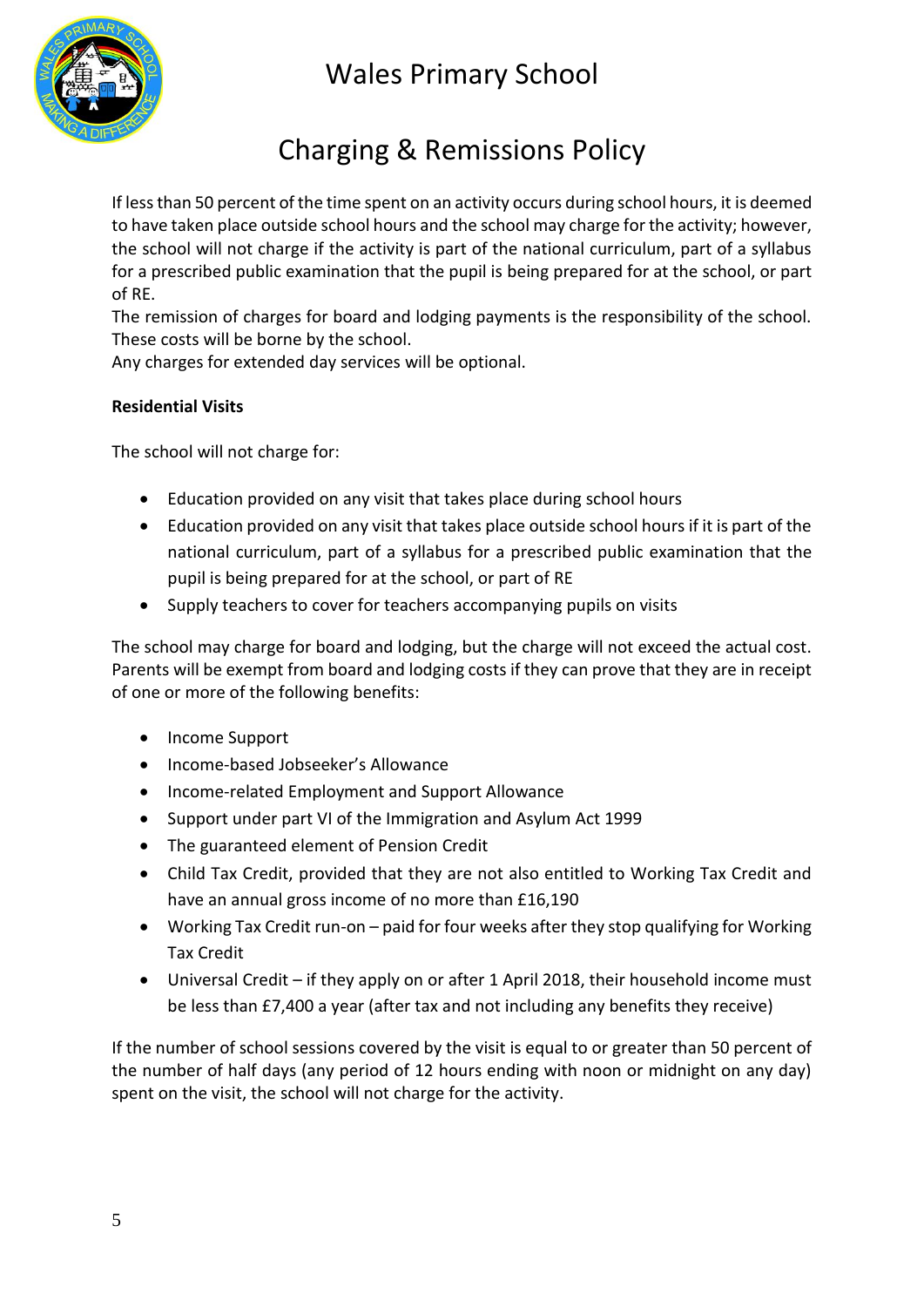



## Charging & Remissions Policy

If less than 50 percent of the time spent on an activity occurs during school hours, it is deemed to have taken place outside school hours and the school may charge for the activity; however, the school will not charge if the activity is part of the national curriculum, part of a syllabus for a prescribed public examination that the pupil is being prepared for at the school, or part of RE.

The remission of charges for board and lodging payments is the responsibility of the school. These costs will be borne by the school.

Any charges for extended day services will be optional.

### **Residential Visits**

The school will not charge for:

- Education provided on any visit that takes place during school hours
- Education provided on any visit that takes place outside school hours if it is part of the national curriculum, part of a syllabus for a prescribed public examination that the pupil is being prepared for at the school, or part of RE
- Supply teachers to cover for teachers accompanying pupils on visits

The school may charge for board and lodging, but the charge will not exceed the actual cost. Parents will be exempt from board and lodging costs if they can prove that they are in receipt of one or more of the following benefits:

- Income Support
- Income-based Jobseeker's Allowance
- Income-related Employment and Support Allowance
- Support under part VI of the Immigration and Asylum Act 1999
- The guaranteed element of Pension Credit
- Child Tax Credit, provided that they are not also entitled to Working Tax Credit and have an annual gross income of no more than £16,190
- Working Tax Credit run-on paid for four weeks after they stop qualifying for Working Tax Credit
- Universal Credit if they apply on or after 1 April 2018, their household income must be less than £7,400 a year (after tax and not including any benefits they receive)

If the number of school sessions covered by the visit is equal to or greater than 50 percent of the number of half days (any period of 12 hours ending with noon or midnight on any day) spent on the visit, the school will not charge for the activity.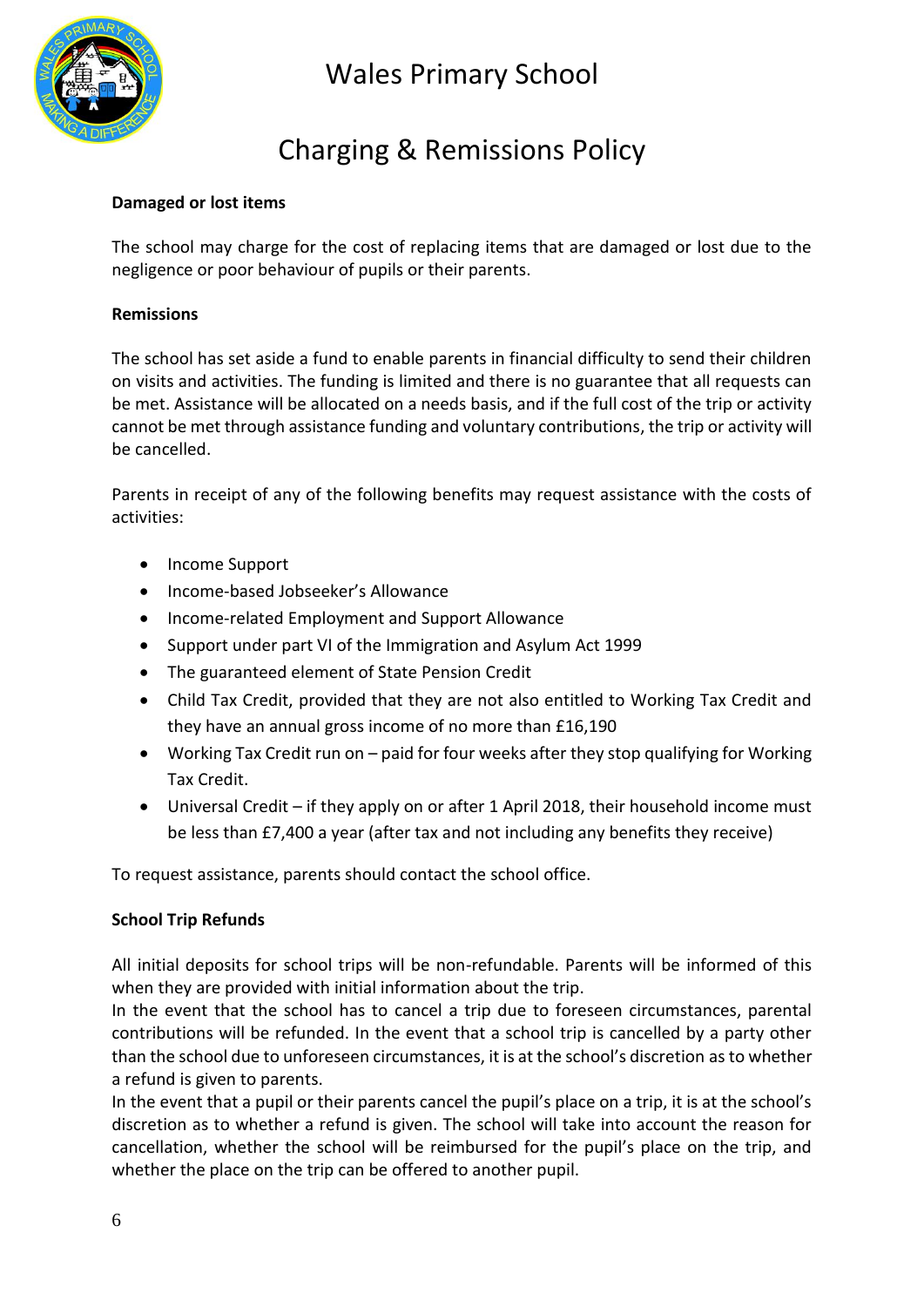

## Charging & Remissions Policy

### **Damaged or lost items**

The school may charge for the cost of replacing items that are damaged or lost due to the negligence or poor behaviour of pupils or their parents.

#### **Remissions**

The school has set aside a fund to enable parents in financial difficulty to send their children on visits and activities. The funding is limited and there is no guarantee that all requests can be met. Assistance will be allocated on a needs basis, and if the full cost of the trip or activity cannot be met through assistance funding and voluntary contributions, the trip or activity will be cancelled.

Parents in receipt of any of the following benefits may request assistance with the costs of activities:

- Income Support
- Income-based Jobseeker's Allowance
- Income-related Employment and Support Allowance
- Support under part VI of the Immigration and Asylum Act 1999
- The guaranteed element of State Pension Credit
- Child Tax Credit, provided that they are not also entitled to Working Tax Credit and they have an annual gross income of no more than £16,190
- Working Tax Credit run on paid for four weeks after they stop qualifying for Working Tax Credit.
- Universal Credit if they apply on or after 1 April 2018, their household income must be less than £7,400 a year (after tax and not including any benefits they receive)

To request assistance, parents should contact the school office.

#### **School Trip Refunds**

All initial deposits for school trips will be non-refundable. Parents will be informed of this when they are provided with initial information about the trip.

In the event that the school has to cancel a trip due to foreseen circumstances, parental contributions will be refunded. In the event that a school trip is cancelled by a party other than the school due to unforeseen circumstances, it is at the school's discretion as to whether a refund is given to parents.

In the event that a pupil or their parents cancel the pupil's place on a trip, it is at the school's discretion as to whether a refund is given. The school will take into account the reason for cancellation, whether the school will be reimbursed for the pupil's place on the trip, and whether the place on the trip can be offered to another pupil.